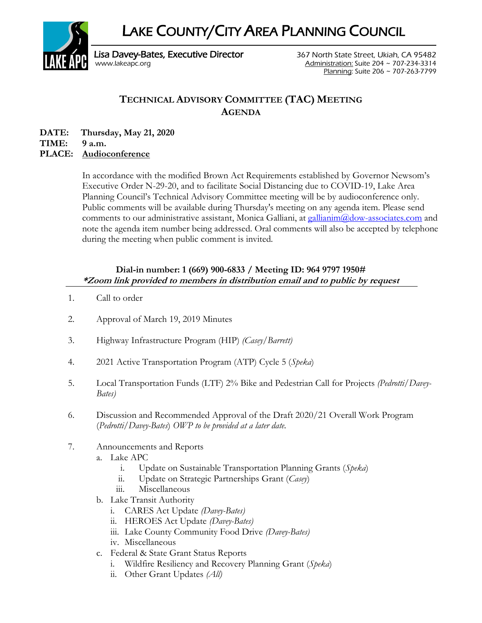LAKE COUNTY/CITY AREA PLANNING COUNCIL



[www.lakeapc.org](http://www.lakeapc.org/) Administration: Suite 204 ~ 707-234-3314 Planning: Suite 206 ~ 707-263-7799

## **TECHNICAL ADVISORY COMMITTEE (TAC) MEETING AGENDA**

**DATE: Thursday, May 21, 2020 TIME: 9 a.m.**

## **PLACE: Audioconference**

In accordance with the modified Brown Act Requirements established by Governor Newsom's Executive Order N-29-20, and to facilitate Social Distancing due to COVID-19, Lake Area Planning Council's Technical Advisory Committee meeting will be by audioconference only. Public comments will be available during Thursday's meeting on any agenda item. Please send comments to our administrative assistant, Monica Galliani, at [gallianim@dow-associates.com](mailto:gallianim@dow-associates.com) and note the agenda item number being addressed. Oral comments will also be accepted by telephone during the meeting when public comment is invited.

## **Dial-in number: 1 (669) 900-6833 / Meeting ID: 964 9797 1950# \*Zoom link provided to members in distribution email and to public by request**

- 1. Call to order
- 2. Approval of March 19, 2019 Minutes
- 3. Highway Infrastructure Program (HIP) *(Casey/Barrett)*
- 4. 2021 Active Transportation Program (ATP) Cycle 5 (*Speka*)
- 5. Local Transportation Funds (LTF) 2% Bike and Pedestrian Call for Projects *(Pedrotti/Davey-Bates)*
- 6. Discussion and Recommended Approval of the Draft 2020/21 Overall Work Program (*Pedrotti/Davey-Bates*) *OWP to be provided at a later date.*

## 7. Announcements and Reports

- a. Lake APC
	- i. Update on Sustainable Transportation Planning Grants (*Speka*)
	- ii. Update on Strategic Partnerships Grant (*Casey*)
	- iii. Miscellaneous
- b. Lake Transit Authority
	- i. CARES Act Update *(Davey-Bates)*
	- ii. HEROES Act Update *(Davey-Bates)*
	- iii. Lake County Community Food Drive *(Davey-Bates)*
	- iv. Miscellaneous
- c. Federal & State Grant Status Reports
	- i. Wildfire Resiliency and Recovery Planning Grant (*Speka*)
	- ii. Other Grant Updates *(All)*